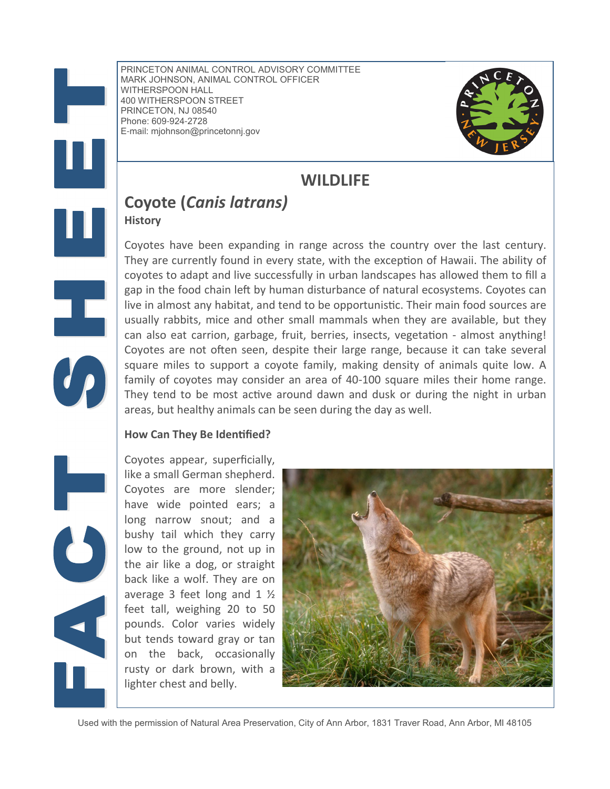Ŧ,

PRINCETON ANIMAL CONTROL ADVISORY COMMITTEE MARK JOHNSON, ANIMAL CONTROL OFFICER WITHERSPOON HALL 400 WITHERSPOON STREET PRINCETON, NJ 08540 Phone: 609-924-2728 E-mail: mjohnson@princetonnj.gov



# **WILDLIFE**

# Coyote (Canis latrans)

**History** 

Coyotes have been expanding in range across the country over the last century. They are currently found in every state, with the exception of Hawaii. The ability of coyotes to adapt and live successfully in urban landscapes has allowed them to fill a gap in the food chain left by human disturbance of natural ecosystems. Coyotes can live in almost any habitat, and tend to be opportunistic. Their main food sources are usually rabbits, mice and other small mammals when they are available, but they can also eat carrion, garbage, fruit, berries, insects, vegetation - almost anything! Coyotes are not often seen, despite their large range, because it can take several square miles to support a coyote family, making density of animals quite low. A family of coyotes may consider an area of 40-100 square miles their home range. They tend to be most active around dawn and dusk or during the night in urban areas, but healthy animals can be seen during the day as well.

#### How Can They Be Identified?

Coyotes appear, superficially, like a small German shepherd. Coyotes are more slender; have wide pointed ears; a long narrow snout; and a bushy tail which they carry low to the ground, not up in the air like a dog, or straight back like a wolf. They are on average 3 feet long and 1 ½ feet tall, weighing 20 to 50 pounds. Color varies widely but tends toward gray or tan on the back, occasionally rusty or dark brown, with a lighter chest and belly.



Used with the permission of Natural Area Preservation, City of Ann Arbor, 1831 Traver Road, Ann Arbor, MI 48105